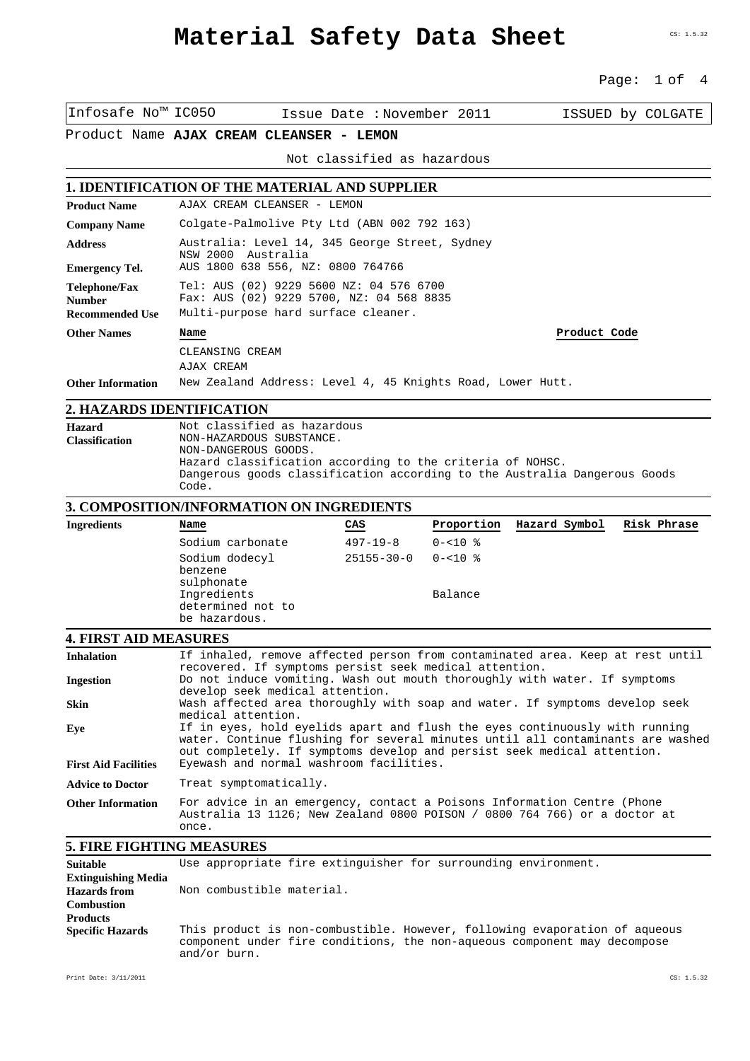# **Material Safety Data Sheet**

#### Page: 1 of 4

|                                                             |                                                                                                                                                                                                                                                                                                                                                                                  |                             |                         |               | r ugu . | ᆂᅌᆂ               |
|-------------------------------------------------------------|----------------------------------------------------------------------------------------------------------------------------------------------------------------------------------------------------------------------------------------------------------------------------------------------------------------------------------------------------------------------------------|-----------------------------|-------------------------|---------------|---------|-------------------|
| Infosafe No™ IC050                                          |                                                                                                                                                                                                                                                                                                                                                                                  | Issue Date: November 2011   |                         |               |         | ISSUED by COLGATE |
|                                                             | Product Name AJAX CREAM CLEANSER - LEMON                                                                                                                                                                                                                                                                                                                                         |                             |                         |               |         |                   |
|                                                             |                                                                                                                                                                                                                                                                                                                                                                                  | Not classified as hazardous |                         |               |         |                   |
|                                                             | 1. IDENTIFICATION OF THE MATERIAL AND SUPPLIER                                                                                                                                                                                                                                                                                                                                   |                             |                         |               |         |                   |
| <b>Product Name</b>                                         | AJAX CREAM CLEANSER - LEMON                                                                                                                                                                                                                                                                                                                                                      |                             |                         |               |         |                   |
| <b>Company Name</b>                                         | Colgate-Palmolive Pty Ltd (ABN 002 792 163)                                                                                                                                                                                                                                                                                                                                      |                             |                         |               |         |                   |
| <b>Address</b>                                              | Australia: Level 14, 345 George Street, Sydney                                                                                                                                                                                                                                                                                                                                   |                             |                         |               |         |                   |
| <b>Emergency Tel.</b>                                       | NSW 2000 Australia<br>AUS 1800 638 556, NZ: 0800 764766                                                                                                                                                                                                                                                                                                                          |                             |                         |               |         |                   |
| <b>Telephone/Fax</b>                                        | Tel: AUS (02) 9229 5600 NZ: 04 576 6700                                                                                                                                                                                                                                                                                                                                          |                             |                         |               |         |                   |
| <b>Number</b><br><b>Recommended Use</b>                     | Fax: AUS (02) 9229 5700, NZ: 04 568 8835<br>Multi-purpose hard surface cleaner.                                                                                                                                                                                                                                                                                                  |                             |                         |               |         |                   |
| <b>Other Names</b>                                          | Product Code                                                                                                                                                                                                                                                                                                                                                                     |                             |                         |               |         |                   |
| Name<br>CLEANSING CREAM                                     |                                                                                                                                                                                                                                                                                                                                                                                  |                             |                         |               |         |                   |
|                                                             | AJAX CREAM                                                                                                                                                                                                                                                                                                                                                                       |                             |                         |               |         |                   |
| <b>Other Information</b>                                    | New Zealand Address: Level 4, 45 Knights Road, Lower Hutt.                                                                                                                                                                                                                                                                                                                       |                             |                         |               |         |                   |
| 2. HAZARDS IDENTIFICATION                                   |                                                                                                                                                                                                                                                                                                                                                                                  |                             |                         |               |         |                   |
| <b>Hazard</b><br><b>Classification</b>                      | Not classified as hazardous<br>NON-HAZARDOUS SUBSTANCE.<br>NON-DANGEROUS GOODS.<br>Hazard classification according to the criteria of NOHSC.<br>Dangerous goods classification according to the Australia Dangerous Goods<br>Code.                                                                                                                                               |                             |                         |               |         |                   |
|                                                             | 3. COMPOSITION/INFORMATION ON INGREDIENTS                                                                                                                                                                                                                                                                                                                                        |                             |                         |               |         |                   |
| <b>Ingredients</b>                                          | Name                                                                                                                                                                                                                                                                                                                                                                             | CAS                         | Proportion              | Hazard Symbol |         | Risk Phrase       |
|                                                             | Sodium carbonate                                                                                                                                                                                                                                                                                                                                                                 | $497 - 19 - 8$              | $0 - < 10$ %            |               |         |                   |
|                                                             | Sodium dodecyl<br>benzene<br>sulphonate<br>Ingredients<br>determined not to<br>be hazardous.                                                                                                                                                                                                                                                                                     | $25155 - 30 - 0$            | $0 - < 10$ %<br>Balance |               |         |                   |
| <b>4. FIRST AID MEASURES</b>                                |                                                                                                                                                                                                                                                                                                                                                                                  |                             |                         |               |         |                   |
| <b>Inhalation</b><br><b>Ingestion</b>                       | If inhaled, remove affected person from contaminated area. Keep at rest until<br>recovered. If symptoms persist seek medical attention.<br>Do not induce vomiting. Wash out mouth thoroughly with water. If symptoms                                                                                                                                                             |                             |                         |               |         |                   |
| Skin                                                        | develop seek medical attention.<br>Wash affected area thoroughly with soap and water. If symptoms develop seek<br>medical attention.<br>If in eyes, hold eyelids apart and flush the eyes continuously with running<br>water. Continue flushing for several minutes until all contaminants are washed<br>out completely. If symptoms develop and persist seek medical attention. |                             |                         |               |         |                   |
| Eye                                                         |                                                                                                                                                                                                                                                                                                                                                                                  |                             |                         |               |         |                   |
| <b>First Aid Facilities</b>                                 | Eyewash and normal washroom facilities.                                                                                                                                                                                                                                                                                                                                          |                             |                         |               |         |                   |
| <b>Advice to Doctor</b>                                     | Treat symptomatically.                                                                                                                                                                                                                                                                                                                                                           |                             |                         |               |         |                   |
| <b>Other Information</b>                                    | For advice in an emergency, contact a Poisons Information Centre (Phone<br>Australia 13 1126; New Zealand 0800 POISON / 0800 764 766) or a doctor at<br>once.                                                                                                                                                                                                                    |                             |                         |               |         |                   |
| <b>5. FIRE FIGHTING MEASURES</b>                            |                                                                                                                                                                                                                                                                                                                                                                                  |                             |                         |               |         |                   |
| <b>Suitable</b><br><b>Extinguishing Media</b>               | Use appropriate fire extinguisher for surrounding environment.                                                                                                                                                                                                                                                                                                                   |                             |                         |               |         |                   |
| <b>Hazards</b> from<br><b>Combustion</b><br><b>Products</b> | Non combustible material.                                                                                                                                                                                                                                                                                                                                                        |                             |                         |               |         |                   |
| <b>Specific Hazards</b>                                     | This product is non-combustible. However, following evaporation of aqueous<br>component under fire conditions, the non-aqueous component may decompose                                                                                                                                                                                                                           |                             |                         |               |         |                   |

and/or burn.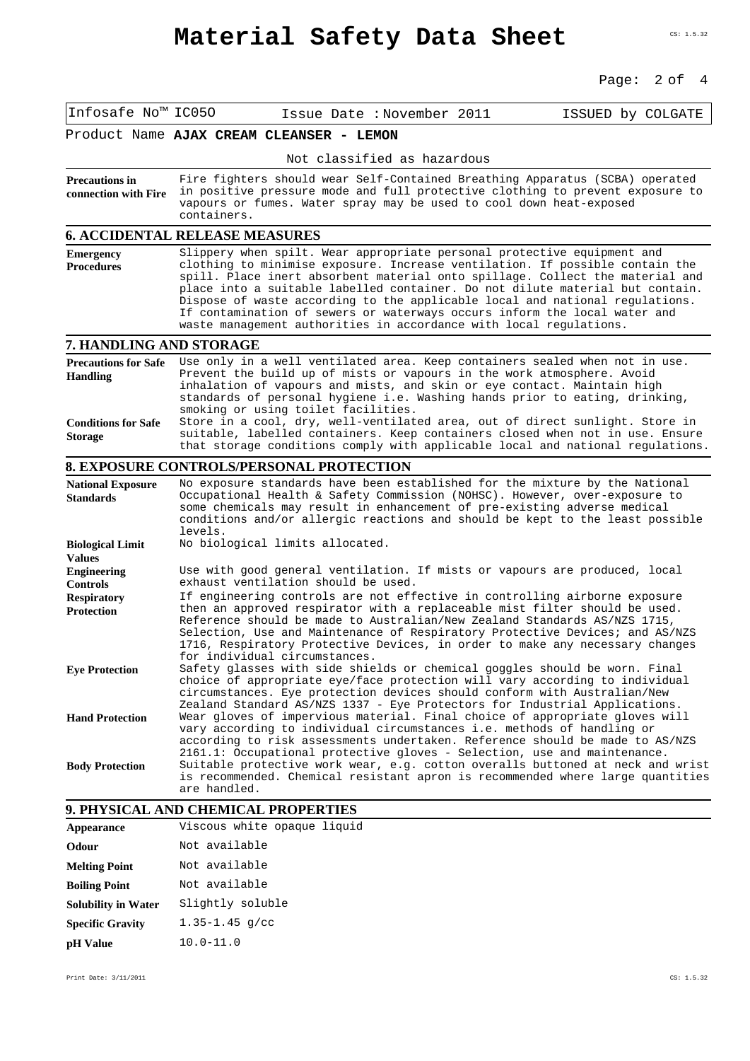## Page: 2 of 4

| Infosafe No™ IC050                                                      | Issue Date : November 2011                                                                                                                                                                                                                                                                                                                                                                                                                                                                                                                                   | ISSUED by COLGATE |
|-------------------------------------------------------------------------|--------------------------------------------------------------------------------------------------------------------------------------------------------------------------------------------------------------------------------------------------------------------------------------------------------------------------------------------------------------------------------------------------------------------------------------------------------------------------------------------------------------------------------------------------------------|-------------------|
|                                                                         | Product Name AJAX CREAM CLEANSER - LEMON                                                                                                                                                                                                                                                                                                                                                                                                                                                                                                                     |                   |
|                                                                         | Not classified as hazardous                                                                                                                                                                                                                                                                                                                                                                                                                                                                                                                                  |                   |
| <b>Precautions in</b><br>connection with Fire                           | Fire fighters should wear Self-Contained Breathing Apparatus (SCBA) operated<br>in positive pressure mode and full protective clothing to prevent exposure to<br>vapours or fumes. Water spray may be used to cool down heat-exposed<br>containers.                                                                                                                                                                                                                                                                                                          |                   |
|                                                                         | <b>6. ACCIDENTAL RELEASE MEASURES</b>                                                                                                                                                                                                                                                                                                                                                                                                                                                                                                                        |                   |
| <b>Emergency</b><br><b>Procedures</b>                                   | Slippery when spilt. Wear appropriate personal protective equipment and<br>clothing to minimise exposure. Increase ventilation. If possible contain the<br>spill. Place inert absorbent material onto spillage. Collect the material and<br>place into a suitable labelled container. Do not dilute material but contain.<br>Dispose of waste according to the applicable local and national regulations.<br>If contamination of sewers or waterways occurs inform the local water and<br>waste management authorities in accordance with local regulations. |                   |
| 7. HANDLING AND STORAGE                                                 |                                                                                                                                                                                                                                                                                                                                                                                                                                                                                                                                                              |                   |
| <b>Precautions for Safe</b><br><b>Handling</b>                          | Use only in a well ventilated area. Keep containers sealed when not in use.<br>Prevent the build up of mists or vapours in the work atmosphere. Avoid<br>inhalation of vapours and mists, and skin or eye contact. Maintain high<br>standards of personal hygiene i.e. Washing hands prior to eating, drinking,<br>smoking or using toilet facilities.                                                                                                                                                                                                       |                   |
| <b>Conditions for Safe</b><br><b>Storage</b>                            | Store in a cool, dry, well-ventilated area, out of direct sunlight. Store in<br>suitable, labelled containers. Keep containers closed when not in use. Ensure<br>that storage conditions comply with applicable local and national regulations.                                                                                                                                                                                                                                                                                                              |                   |
|                                                                         | <b>8. EXPOSURE CONTROLS/PERSONAL PROTECTION</b>                                                                                                                                                                                                                                                                                                                                                                                                                                                                                                              |                   |
| <b>National Exposure</b><br><b>Standards</b><br><b>Biological Limit</b> | No exposure standards have been established for the mixture by the National<br>Occupational Health & Safety Commission (NOHSC). However, over-exposure to<br>some chemicals may result in enhancement of pre-existing adverse medical<br>conditions and/or allergic reactions and should be kept to the least possible<br>levels.<br>No biological limits allocated.                                                                                                                                                                                         |                   |
| <b>Values</b><br><b>Engineering</b><br><b>Controls</b>                  | Use with good general ventilation. If mists or vapours are produced, local<br>exhaust ventilation should be used.                                                                                                                                                                                                                                                                                                                                                                                                                                            |                   |
| <b>Respiratory</b><br><b>Protection</b>                                 | If engineering controls are not effective in controlling airborne exposure<br>then an approved respirator with a replaceable mist filter should be used.<br>Reference should be made to Australian/New Zealand Standards AS/NZS 1715,<br>Selection, Use and Maintenance of Respiratory Protective Devices; and AS/NZS<br>1716, Respiratory Protective Devices, in order to make any necessary changes<br>for individual circumstances.                                                                                                                       |                   |
| <b>Eye Protection</b>                                                   | Safety glasses with side shields or chemical goggles should be worn. Final<br>choice of appropriate eye/face protection will vary according to individual<br>circumstances. Eye protection devices should conform with Australian/New<br>Zealand Standard AS/NZS 1337 - Eye Protectors for Industrial Applications.                                                                                                                                                                                                                                          |                   |
| <b>Hand Protection</b>                                                  | Wear gloves of impervious material. Final choice of appropriate gloves will<br>vary according to individual circumstances i.e. methods of handling or<br>according to risk assessments undertaken. Reference should be made to AS/NZS<br>2161.1: Occupational protective gloves - Selection, use and maintenance.                                                                                                                                                                                                                                            |                   |
| <b>Body Protection</b>                                                  | Suitable protective work wear, e.g. cotton overalls buttoned at neck and wrist<br>is recommended. Chemical resistant apron is recommended where large quantities<br>are handled.                                                                                                                                                                                                                                                                                                                                                                             |                   |
|                                                                         | 9. PHYSICAL AND CHEMICAL PROPERTIES                                                                                                                                                                                                                                                                                                                                                                                                                                                                                                                          |                   |
| Appearance                                                              | Viscous white opaque liquid                                                                                                                                                                                                                                                                                                                                                                                                                                                                                                                                  |                   |

| <b>Appearance</b>          | viscous while opaque |
|----------------------------|----------------------|
| Odour                      | Not available        |
| <b>Melting Point</b>       | Not available        |
| <b>Boiling Point</b>       | Not available        |
| <b>Solubility in Water</b> | Slightly soluble     |
| <b>Specific Gravity</b>    | $1.35 - 1.45$ q/cc   |
| pH Value                   | $10.0 - 11.0$        |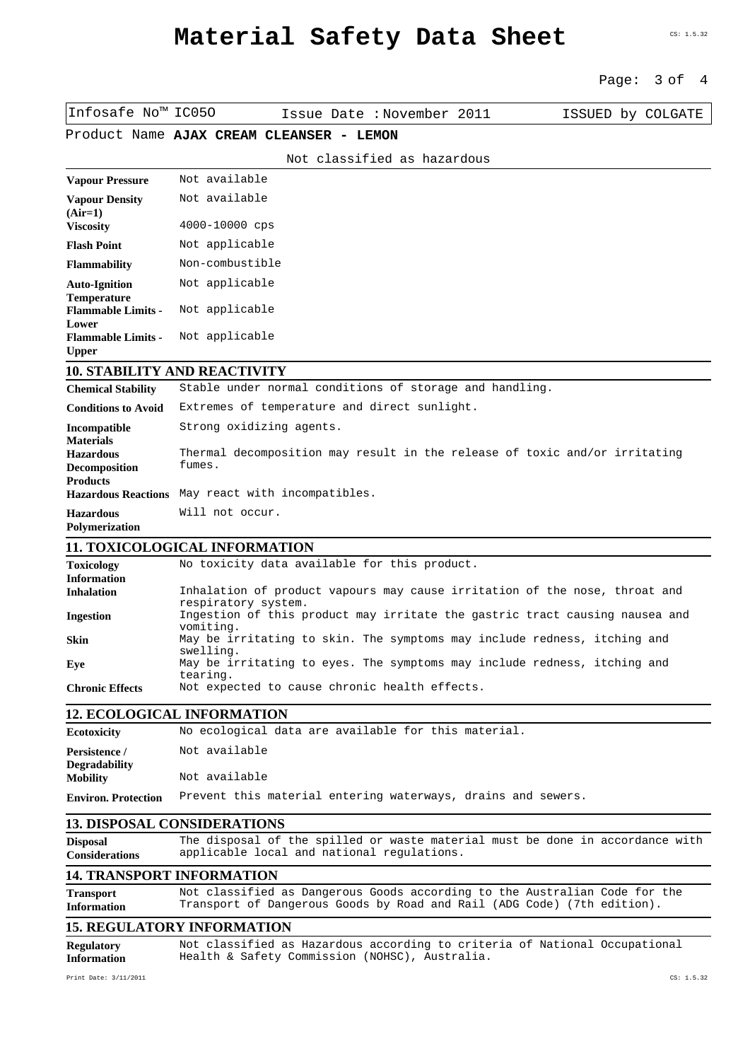## Page: 3 of 4

| Infosafe No™ IC050                                                              | Issue Date: November 2011<br>ISSUED by COLGATE                                                                                                        |  |  |
|---------------------------------------------------------------------------------|-------------------------------------------------------------------------------------------------------------------------------------------------------|--|--|
|                                                                                 | Product Name AJAX CREAM CLEANSER - LEMON                                                                                                              |  |  |
|                                                                                 | Not classified as hazardous                                                                                                                           |  |  |
| <b>Vapour Pressure</b>                                                          | Not available                                                                                                                                         |  |  |
| <b>Vapour Density</b>                                                           | Not available                                                                                                                                         |  |  |
| $(Air=1)$<br><b>Viscosity</b>                                                   | 4000-10000 cps                                                                                                                                        |  |  |
| <b>Flash Point</b>                                                              | Not applicable                                                                                                                                        |  |  |
| <b>Flammability</b>                                                             | Non-combustible                                                                                                                                       |  |  |
| <b>Auto-Ignition</b><br><b>Temperature</b>                                      | Not applicable                                                                                                                                        |  |  |
| <b>Flammable Limits -</b><br>Lower                                              | Not applicable                                                                                                                                        |  |  |
| <b>Flammable Limits -</b><br><b>Upper</b>                                       | Not applicable                                                                                                                                        |  |  |
|                                                                                 | <b>10. STABILITY AND REACTIVITY</b>                                                                                                                   |  |  |
| <b>Chemical Stability</b>                                                       | Stable under normal conditions of storage and handling.                                                                                               |  |  |
| <b>Conditions to Avoid</b>                                                      | Extremes of temperature and direct sunlight.                                                                                                          |  |  |
| Incompatible                                                                    | Strong oxidizing agents.                                                                                                                              |  |  |
| <b>Materials</b><br><b>Hazardous</b><br><b>Decomposition</b><br><b>Products</b> | Thermal decomposition may result in the release of toxic and/or irritating<br>fumes.                                                                  |  |  |
| <b>Hazardous Reactions</b>                                                      | May react with incompatibles.                                                                                                                         |  |  |
| <b>Hazardous</b><br>Polymerization                                              | Will not occur.                                                                                                                                       |  |  |
|                                                                                 | <b>11. TOXICOLOGICAL INFORMATION</b>                                                                                                                  |  |  |
| <b>Toxicology</b>                                                               | No toxicity data available for this product.                                                                                                          |  |  |
| <b>Information</b><br><b>Inhalation</b>                                         | Inhalation of product vapours may cause irritation of the nose, throat and<br>respiratory system.                                                     |  |  |
| <b>Ingestion</b>                                                                | Ingestion of this product may irritate the gastric tract causing nausea and<br>vomiting.                                                              |  |  |
| Skin                                                                            | May be irritating to skin. The symptoms may include redness, itching and<br>swelling.                                                                 |  |  |
| Eye                                                                             | May be irritating to eyes. The symptoms may include redness, itching and<br>tearing.                                                                  |  |  |
| <b>Chronic Effects</b>                                                          | Not expected to cause chronic health effects.                                                                                                         |  |  |
|                                                                                 | <b>12. ECOLOGICAL INFORMATION</b>                                                                                                                     |  |  |
| <b>Ecotoxicity</b>                                                              | No ecological data are available for this material.                                                                                                   |  |  |
| Persistence /<br><b>Degradability</b>                                           | Not available                                                                                                                                         |  |  |
| <b>Mobility</b>                                                                 | Not available                                                                                                                                         |  |  |
| <b>Environ. Protection</b>                                                      | Prevent this material entering waterways, drains and sewers.                                                                                          |  |  |
|                                                                                 | <b>13. DISPOSAL CONSIDERATIONS</b>                                                                                                                    |  |  |
| <b>Disposal</b><br><b>Considerations</b>                                        | The disposal of the spilled or waste material must be done in accordance with<br>applicable local and national regulations.                           |  |  |
| 14. TRANSPORT INFORMATION                                                       |                                                                                                                                                       |  |  |
| <b>Transport</b><br><b>Information</b>                                          | Not classified as Dangerous Goods according to the Australian Code for the<br>Transport of Dangerous Goods by Road and Rail (ADG Code) (7th edition). |  |  |
|                                                                                 | <b>15. REGULATORY INFORMATION</b>                                                                                                                     |  |  |
| <b>Regulatory</b><br><b>Information</b>                                         | Not classified as Hazardous according to criteria of National Occupational<br>Health & Safety Commission (NOHSC), Australia.                          |  |  |
| Print Date: 3/11/2011                                                           | CS: 1.5.32                                                                                                                                            |  |  |
|                                                                                 |                                                                                                                                                       |  |  |
|                                                                                 |                                                                                                                                                       |  |  |